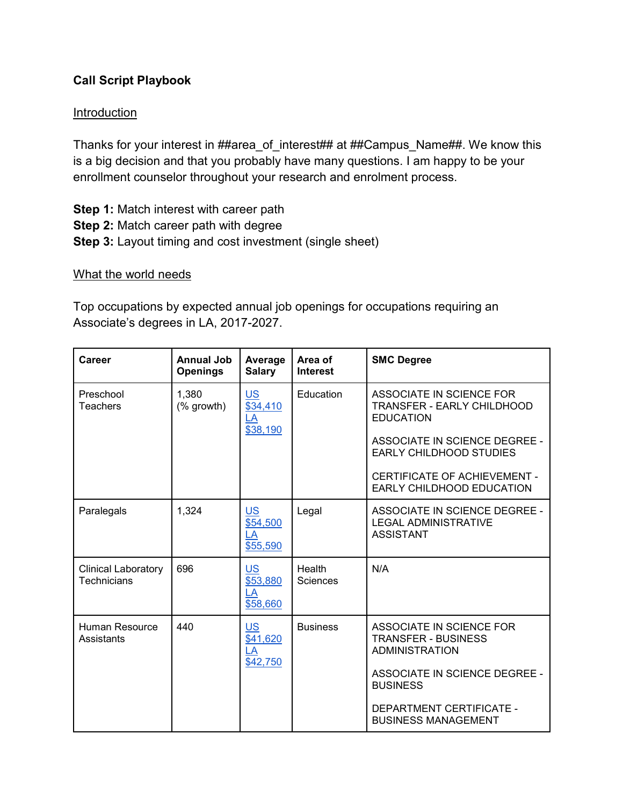## **Call Script Playbook**

## **Introduction**

Thanks for your interest in ##area\_of\_interest## at ##Campus\_Name##. We know this is a big decision and that you probably have many questions. I am happy to be your enrollment counselor throughout your research and enrolment process.

**Step 1:** Match interest with career path **Step 2:** Match career path with degree **Step 3:** Layout timing and cost investment (single sheet)

## What the world needs

Top occupations by expected annual job openings for occupations requiring an Associate's degrees in LA, 2017-2027.

| Career                                    | Annual Job<br><b>Openings</b> | Average<br><b>Salary</b>                | Area of<br><b>Interest</b> | <b>SMC Degree</b>                                                                                                                                                             |
|-------------------------------------------|-------------------------------|-----------------------------------------|----------------------------|-------------------------------------------------------------------------------------------------------------------------------------------------------------------------------|
| Preschool<br>Teachers                     | 1,380<br>(% growth)           | <b>US</b><br>\$34,410<br>LA<br>\$38,190 | Education                  | ASSOCIATE IN SCIENCE FOR<br>TRANSFER - EARLY CHILDHOOD<br><b>EDUCATION</b><br>ASSOCIATE IN SCIENCE DEGREE -<br><b>EARLY CHILDHOOD STUDIES</b><br>CERTIFICATE OF ACHIEVEMENT - |
|                                           |                               |                                         |                            | EARLY CHILDHOOD EDUCATION                                                                                                                                                     |
| Paralegals                                | 1,324                         | <b>US</b><br>\$54,500<br>LA<br>\$55,590 | Legal                      | ASSOCIATE IN SCIENCE DEGREE -<br><b>LEGAL ADMINISTRATIVE</b><br><b>ASSISTANT</b>                                                                                              |
| <b>Clinical Laboratory</b><br>Technicians | 696                           | <b>US</b><br>\$53,880<br>LA<br>\$58,660 | Health<br><b>Sciences</b>  | N/A                                                                                                                                                                           |
| <b>Human Resource</b><br>Assistants       | 440                           | <b>US</b><br>\$41,620<br>LA<br>\$42,750 | <b>Business</b>            | ASSOCIATE IN SCIENCE FOR<br><b>TRANSFER - BUSINESS</b><br><b>ADMINISTRATION</b>                                                                                               |
|                                           |                               |                                         |                            | <b>ASSOCIATE IN SCIENCE DEGREE -</b><br><b>BUSINESS</b>                                                                                                                       |
|                                           |                               |                                         |                            | DEPARTMENT CERTIFICATE -<br><b>BUSINESS MANAGEMENT</b>                                                                                                                        |